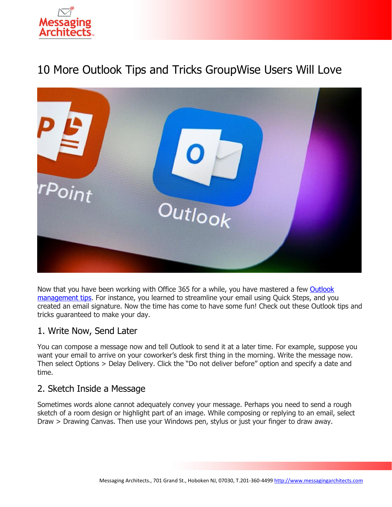

# 10 More Outlook Tips and Tricks GroupWise Users Will Love



Now that you have been working with Office 365 for a while, you have mastered a few [Outlook](https://messagingarchitects.com/outlook-tips-groupwise-users/)  [management tips.](https://messagingarchitects.com/outlook-tips-groupwise-users/) For instance, you learned to streamline your email using Quick Steps, and you created an email signature. Now the time has come to have some fun! Check out these Outlook tips and tricks guaranteed to make your day.

#### 1. Write Now, Send Later

You can compose a message now and tell Outlook to send it at a later time. For example, suppose you want your email to arrive on your coworker's desk first thing in the morning. Write the message now. Then select Options > Delay Delivery. Click the "Do not deliver before" option and specify a date and time.

## 2. Sketch Inside a Message

Sometimes words alone cannot adequately convey your message. Perhaps you need to send a rough sketch of a room design or highlight part of an image. While composing or replying to an email, select Draw > Drawing Canvas. Then use your Windows pen, stylus or just your finger to draw away.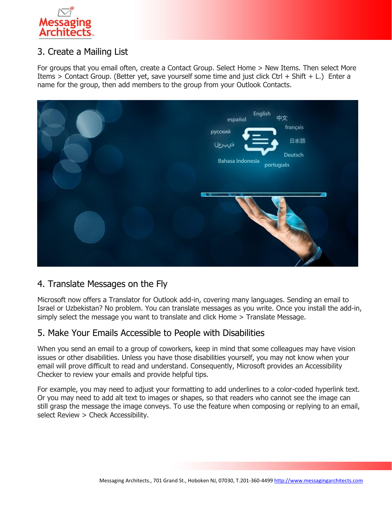

## 3. Create a Mailing List

For groups that you email often, create a Contact Group. Select Home > New Items. Then select More Items > Contact Group. (Better yet, save yourself some time and just click Ctrl + Shift + L.) Enter a name for the group, then add members to the group from your Outlook Contacts.



## 4. Translate Messages on the Fly

Microsoft now offers a Translator for Outlook add-in, covering many languages. Sending an email to Israel or Uzbekistan? No problem. You can translate messages as you write. Once you install the add-in, simply select the message you want to translate and click Home > Translate Message.

#### 5. Make Your Emails Accessible to People with Disabilities

When you send an email to a group of coworkers, keep in mind that some colleagues may have vision issues or other disabilities. Unless you have those disabilities yourself, you may not know when your email will prove difficult to read and understand. Consequently, Microsoft provides an Accessibility Checker to review your emails and provide helpful tips.

For example, you may need to adjust your formatting to add underlines to a color-coded hyperlink text. Or you may need to add alt text to images or shapes, so that readers who cannot see the image can still grasp the message the image conveys. To use the feature when composing or replying to an email, select Review > Check Accessibility.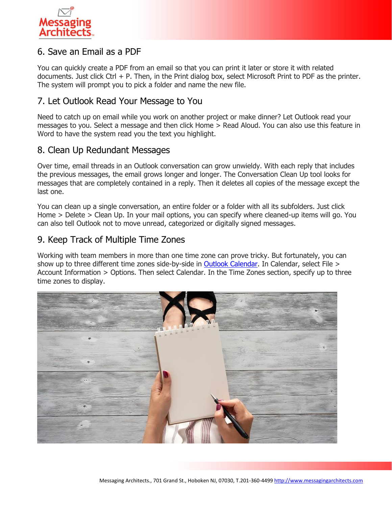

## 6. Save an Email as a PDF

You can quickly create a PDF from an email so that you can print it later or store it with related documents. Just click Ctrl + P. Then, in the Print dialog box, select Microsoft Print to PDF as the printer. The system will prompt you to pick a folder and name the new file.

#### 7. Let Outlook Read Your Message to You

Need to catch up on email while you work on another project or make dinner? Let Outlook read your messages to you. Select a message and then click Home > Read Aloud. You can also use this feature in Word to have the system read you the text you highlight.

#### 8. Clean Up Redundant Messages

Over time, email threads in an Outlook conversation can grow unwieldy. With each reply that includes the previous messages, the email grows longer and longer. The Conversation Clean Up tool looks for messages that are completely contained in a reply. Then it deletes all copies of the message except the last one.

You can clean up a single conversation, an entire folder or a folder with all its subfolders. Just click Home > Delete > Clean Up. In your mail options, you can specify where cleaned-up items will go. You can also tell Outlook not to move unread, categorized or digitally signed messages.

#### 9. Keep Track of Multiple Time Zones

Working with team members in more than one time zone can prove tricky. But fortunately, you can show up to three different time zones side-by-side in **Outlook Calendar**. In Calendar, select File > Account Information > Options. Then select Calendar. In the Time Zones section, specify up to three time zones to display.